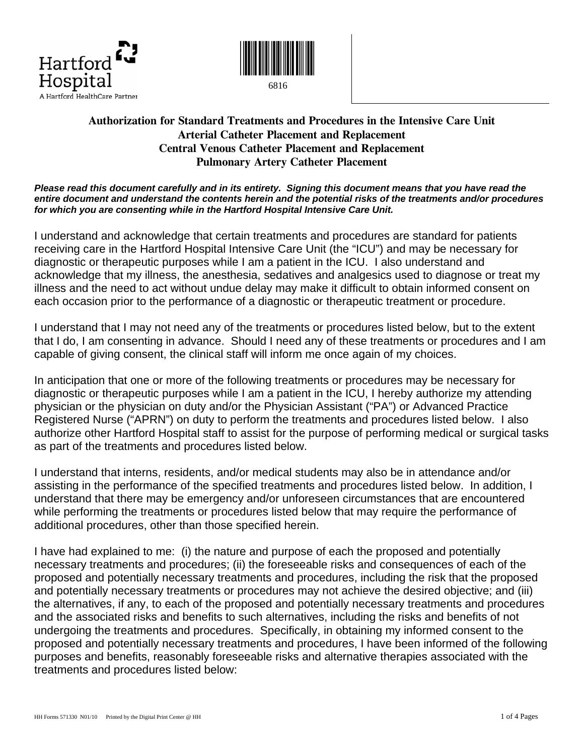



6816

# **Authorization for Standard Treatments and Procedures in the Intensive Care Unit Arterial Catheter Placement and Replacement Central Venous Catheter Placement and Replacement Pulmonary Artery Catheter Placement**

*Please read this document carefully and in its entirety. Signing this document means that you have read the entire document and understand the contents herein and the potential risks of the treatments and/or procedures for which you are consenting while in the Hartford Hospital Intensive Care Unit.* 

I understand and acknowledge that certain treatments and procedures are standard for patients receiving care in the Hartford Hospital Intensive Care Unit (the "ICU") and may be necessary for diagnostic or therapeutic purposes while I am a patient in the ICU. I also understand and acknowledge that my illness, the anesthesia, sedatives and analgesics used to diagnose or treat my illness and the need to act without undue delay may make it difficult to obtain informed consent on each occasion prior to the performance of a diagnostic or therapeutic treatment or procedure.

I understand that I may not need any of the treatments or procedures listed below, but to the extent that I do, I am consenting in advance. Should I need any of these treatments or procedures and I am capable of giving consent, the clinical staff will inform me once again of my choices.

In anticipation that one or more of the following treatments or procedures may be necessary for diagnostic or therapeutic purposes while I am a patient in the ICU, I hereby authorize my attending physician or the physician on duty and/or the Physician Assistant ("PA") or Advanced Practice Registered Nurse ("APRN") on duty to perform the treatments and procedures listed below. I also authorize other Hartford Hospital staff to assist for the purpose of performing medical or surgical tasks as part of the treatments and procedures listed below.

I understand that interns, residents, and/or medical students may also be in attendance and/or assisting in the performance of the specified treatments and procedures listed below. In addition, I understand that there may be emergency and/or unforeseen circumstances that are encountered while performing the treatments or procedures listed below that may require the performance of additional procedures, other than those specified herein.

I have had explained to me: (i) the nature and purpose of each the proposed and potentially necessary treatments and procedures; (ii) the foreseeable risks and consequences of each of the proposed and potentially necessary treatments and procedures, including the risk that the proposed and potentially necessary treatments or procedures may not achieve the desired objective; and (iii) the alternatives, if any, to each of the proposed and potentially necessary treatments and procedures and the associated risks and benefits to such alternatives, including the risks and benefits of not undergoing the treatments and procedures. Specifically, in obtaining my informed consent to the proposed and potentially necessary treatments and procedures, I have been informed of the following purposes and benefits, reasonably foreseeable risks and alternative therapies associated with the treatments and procedures listed below: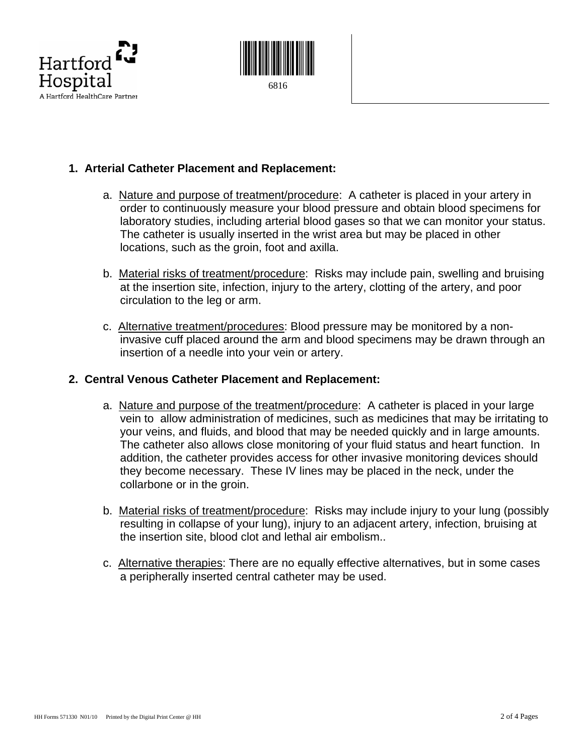



# **1. Arterial Catheter Placement and Replacement:**

- a. Nature and purpose of treatment/procedure: A catheter is placed in your artery in order to continuously measure your blood pressure and obtain blood specimens for laboratory studies, including arterial blood gases so that we can monitor your status. The catheter is usually inserted in the wrist area but may be placed in other locations, such as the groin, foot and axilla.
- b. Material risks of treatment/procedure: Risks may include pain, swelling and bruising at the insertion site, infection, injury to the artery, clotting of the artery, and poor circulation to the leg or arm.
- c. Alternative treatment/procedures: Blood pressure may be monitored by a noninvasive cuff placed around the arm and blood specimens may be drawn through an insertion of a needle into your vein or artery.

#### **2. Central Venous Catheter Placement and Replacement:**

- a. Nature and purpose of the treatment/procedure: A catheter is placed in your large vein to allow administration of medicines, such as medicines that may be irritating to your veins, and fluids, and blood that may be needed quickly and in large amounts. The catheter also allows close monitoring of your fluid status and heart function. In addition, the catheter provides access for other invasive monitoring devices should they become necessary. These IV lines may be placed in the neck, under the collarbone or in the groin.
- b. Material risks of treatment/procedure: Risks may include injury to your lung (possibly resulting in collapse of your lung), injury to an adjacent artery, infection, bruising at the insertion site, blood clot and lethal air embolism..
- c. Alternative therapies: There are no equally effective alternatives, but in some cases a peripherally inserted central catheter may be used.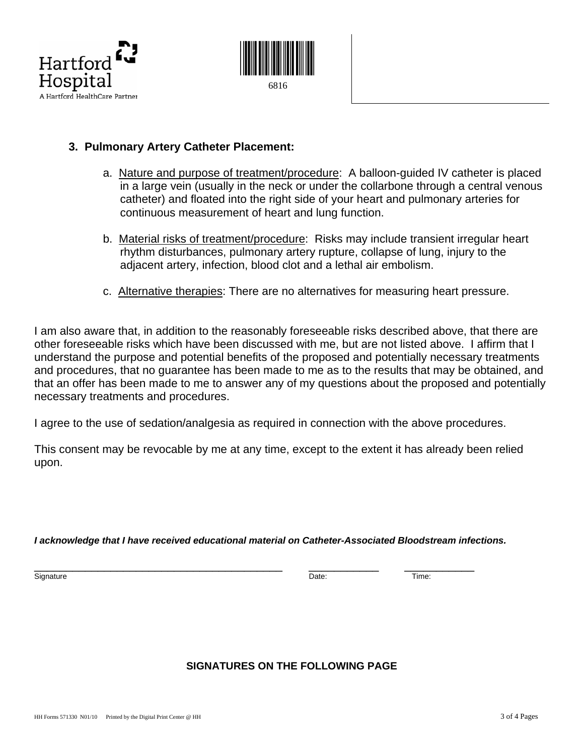



### **3. Pulmonary Artery Catheter Placement:**

- a. Nature and purpose of treatment/procedure: A balloon-guided IV catheter is placed in a large vein (usually in the neck or under the collarbone through a central venous catheter) and floated into the right side of your heart and pulmonary arteries for continuous measurement of heart and lung function.
- b. Material risks of treatment/procedure:Risks may include transient irregular heart rhythm disturbances, pulmonary artery rupture, collapse of lung, injury to the adjacent artery, infection, blood clot and a lethal air embolism.
- c. Alternative therapies: There are no alternatives for measuring heart pressure.

I am also aware that, in addition to the reasonably foreseeable risks described above, that there are other foreseeable risks which have been discussed with me, but are not listed above. I affirm that I understand the purpose and potential benefits of the proposed and potentially necessary treatments and procedures, that no guarantee has been made to me as to the results that may be obtained, and that an offer has been made to me to answer any of my questions about the proposed and potentially necessary treatments and procedures.

I agree to the use of sedation/analgesia as required in connection with the above procedures.

This consent may be revocable by me at any time, except to the extent it has already been relied upon.

*I acknowledge that I have received educational material on Catheter-Associated Bloodstream infections.* 

 $\frac{1}{\text{Sigma}}$  Signature  $\frac{1}{\text{Date}}}$   $\frac{1}{\text{Date}}$   $\frac{1}{\text{Time}}$ 

### **SIGNATURES ON THE FOLLOWING PAGE**